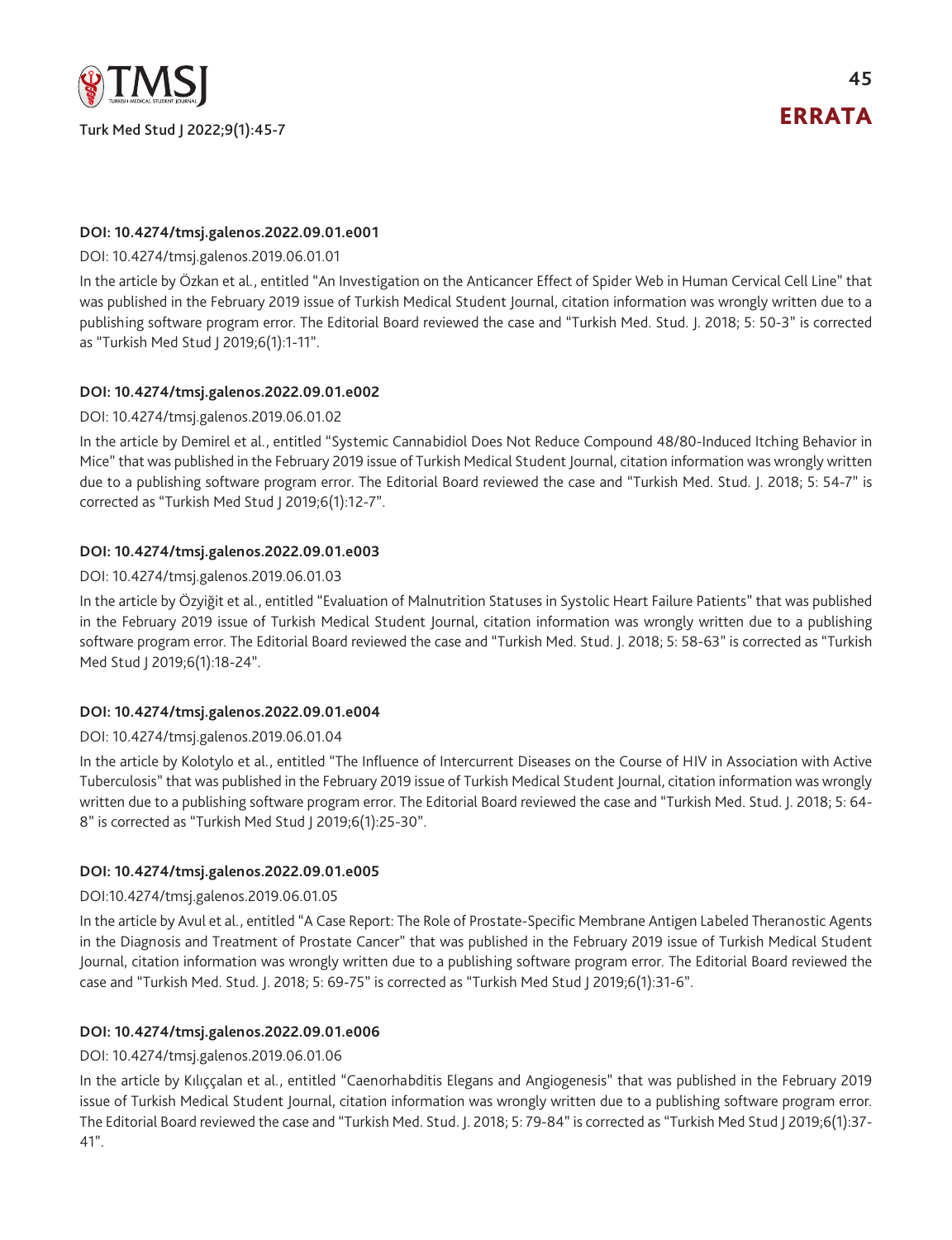

**45**

# **DOI: 10.4274/tmsj.galenos.2022.09.01.e001**

### DOI: [10.4274/tmsj.galenos.2019.06.01.01](https://cms.galenos.com.tr/Uploads/Article_50375/tmsj-6-50-En.pdf)

In the article by Özkan et al., entitled "An Investigation on the Anticancer Effect of Spider Web in Human Cervical Cell Line" that was published in the February 2019 issue of Turkish Medical Student Journal, citation information was wrongly written due to a publishing software program error. The Editorial Board reviewed the case and "Turkish Med. Stud. J. 2018; 5: 50-3" is corrected as "Turkish Med Stud J 2019;6(1):1-11".

# **DOI: 10.4274/tmsj.galenos.2022.09.01.e002**

#### DOI: [10.4274/tmsj.galenos.2019.06.01.02](https://cms.galenos.com.tr/Uploads/Article_50376/tmsj-6-54-En.pdf)

In the article by Demirel et al., entitled "Systemic Cannabidiol Does Not Reduce Compound 48/80-Induced Itching Behavior in Mice" that was published in the February 2019 issue of Turkish Medical Student Journal, citation information was wrongly written due to a publishing software program error. The Editorial Board reviewed the case and "Turkish Med. Stud. J. 2018; 5: 54-7" is corrected as "Turkish Med Stud J 2019;6(1):12-7".

# **DOI: 10.4274/tmsj.galenos.2022.09.01.e003**

#### DOI: [10.4274/tmsj.galenos.2019.06.01.03](https://cms.galenos.com.tr/Uploads/Article_50377/tmsj-6-58-En.pdf)

In the article by Özyiğit et al., entitled "Evaluation of Malnutrition Statuses in Systolic Heart Failure Patients" that was published in the February 2019 issue of Turkish Medical Student Journal, citation information was wrongly written due to a publishing software program error. The Editorial Board reviewed the case and "Turkish Med. Stud. J. 2018; 5: 58-63" is corrected as "Turkish Med Stud | 2019;6(1):18-24".

# **DOI: 10.4274/tmsj.galenos.2022.09.01.e004**

#### DOI: [10.4274/tmsj.galenos.2019.06.01.04](https://cms.galenos.com.tr/Uploads/Article_50378/tmsj-6-64-En.pdf)

In the article by Kolotylo et al., entitled "The Influence of Intercurrent Diseases on the Course of HIV in Association with Active Tuberculosis" that was published in the February 2019 issue of Turkish Medical Student Journal, citation information was wrongly written due to a publishing software program error. The Editorial Board reviewed the case and "Turkish Med. Stud. J. 2018; 5: 64- 8" is corrected as "Turkish Med Stud J 2019;6(1):25-30".

#### **DOI: 10.4274/tmsj.galenos.2022.09.01.e005**

#### DOI:[10.4274/tmsj.galenos.2019.06.01.05](https://cms.galenos.com.tr/Uploads/Article_50379/tmsj-6-69-En.pdf)

In the article by Avul et al., entitled "A Case Report: The Role of Prostate-Specific Membrane Antigen Labeled Theranostic Agents in the Diagnosis and Treatment of Prostate Cancer" that was published in the February 2019 issue of Turkish Medical Student Journal, citation information was wrongly written due to a publishing software program error. The Editorial Board reviewed the case and "Turkish Med. Stud. J. 2018; 5: 69-75" is corrected as "Turkish Med Stud J 2019;6(1):31-6".

# **DOI: 10.4274/tmsj.galenos.2022.09.01.e006**

#### DOI: [10.4274/tmsj.galenos.2019.06.01.06](https://cms.galenos.com.tr/Uploads/Article_50380/tmsj-6-79-En.pdf)

In the article by Kılıççalan et al., entitled "Caenorhabditis Elegans and Angiogenesis" that was published in the February 2019 issue of Turkish Medical Student Journal, citation information was wrongly written due to a publishing software program error. The Editorial Board reviewed the case and "Turkish Med. Stud. J. 2018; 5: 79-84" is corrected as "Turkish Med Stud J 2019;6(1):37- 41".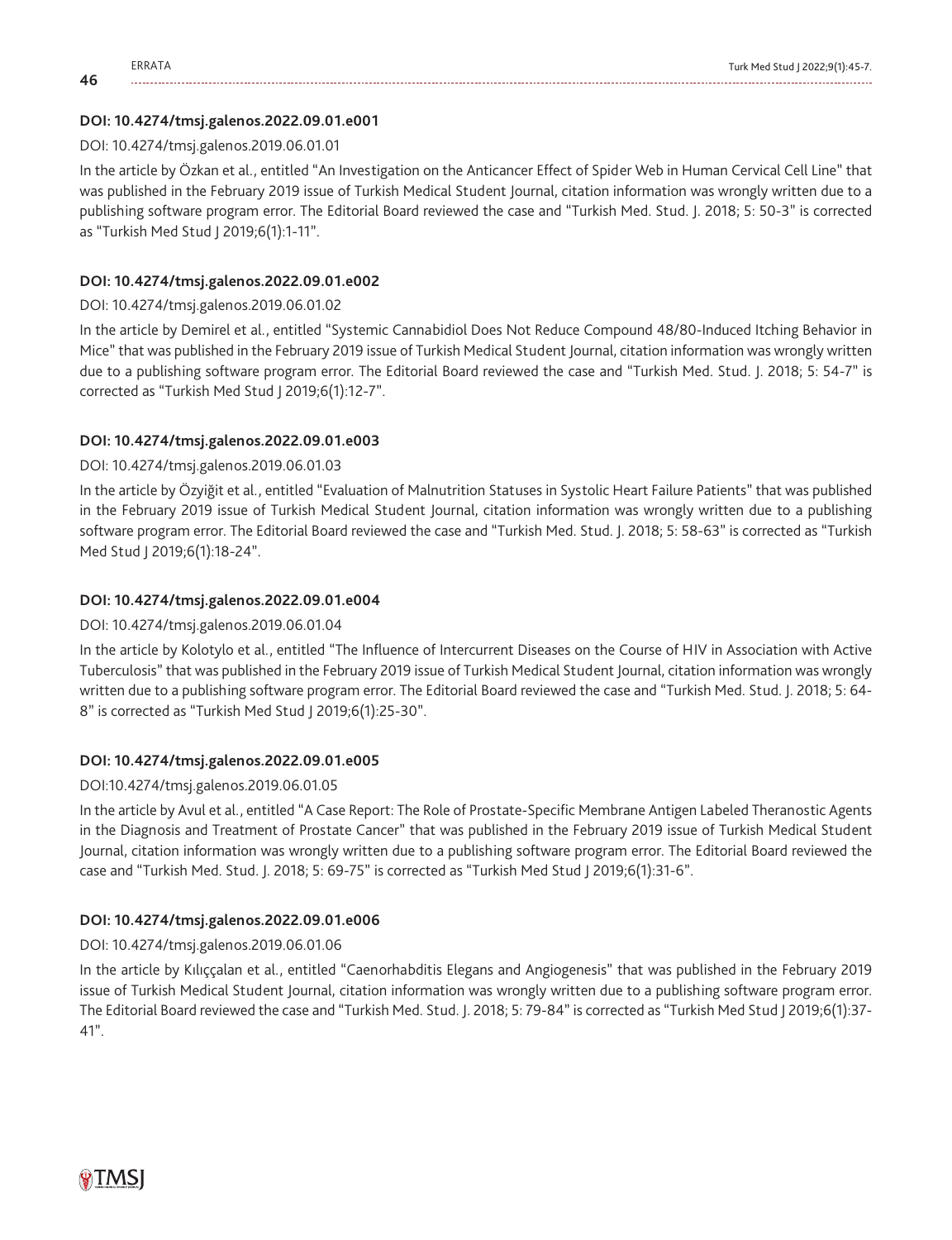**46**

# **DOI: 10.4274/tmsj.galenos.2022.09.01.e001**

# DOI: [10.4274/tmsj.galenos.2019.06.01.01](https://cms.galenos.com.tr/Uploads/Article_50375/tmsj-6-50-En.pdf)

In the article by Özkan et al., entitled "An Investigation on the Anticancer Effect of Spider Web in Human Cervical Cell Line" that was published in the February 2019 issue of Turkish Medical Student Journal, citation information was wrongly written due to a publishing software program error. The Editorial Board reviewed the case and "Turkish Med. Stud. J. 2018; 5: 50-3" is corrected as "Turkish Med Stud J 2019;6(1):1-11".

# **DOI: 10.4274/tmsj.galenos.2022.09.01.e002**

# DOI: [10.4274/tmsj.galenos.2019.06.01.02](https://cms.galenos.com.tr/Uploads/Article_50376/tmsj-6-54-En.pdf)

In the article by Demirel et al., entitled "Systemic Cannabidiol Does Not Reduce Compound 48/80-Induced Itching Behavior in Mice" that was published in the February 2019 issue of Turkish Medical Student Journal, citation information was wrongly written due to a publishing software program error. The Editorial Board reviewed the case and "Turkish Med. Stud. J. 2018; 5: 54-7" is corrected as "Turkish Med Stud J 2019;6(1):12-7".

# **DOI: 10.4274/tmsj.galenos.2022.09.01.e003**

# DOI: [10.4274/tmsj.galenos.2019.06.01.03](https://cms.galenos.com.tr/Uploads/Article_50377/tmsj-6-58-En.pdf)

In the article by Özyiğit et al., entitled "Evaluation of Malnutrition Statuses in Systolic Heart Failure Patients" that was published in the February 2019 issue of Turkish Medical Student Journal, citation information was wrongly written due to a publishing software program error. The Editorial Board reviewed the case and "Turkish Med. Stud. J. 2018; 5: 58-63" is corrected as "Turkish Med Stud J 2019;6(1):18-24".

# **DOI: 10.4274/tmsj.galenos.2022.09.01.e004**

# DOI: [10.4274/tmsj.galenos.2019.06.01.04](https://cms.galenos.com.tr/Uploads/Article_50378/tmsj-6-64-En.pdf)

In the article by Kolotylo et al., entitled "The Influence of Intercurrent Diseases on the Course of HIV in Association with Active Tuberculosis" that was published in the February 2019 issue of Turkish Medical Student Journal, citation information was wrongly written due to a publishing software program error. The Editorial Board reviewed the case and "Turkish Med. Stud. J. 2018; 5: 64- 8" is corrected as "Turkish Med Stud J 2019;6(1):25-30".

# **DOI: 10.4274/tmsj.galenos.2022.09.01.e005**

# DOI:[10.4274/tmsj.galenos.2019.06.01.05](https://cms.galenos.com.tr/Uploads/Article_50379/tmsj-6-69-En.pdf)

In the article by Avul et al., entitled "A Case Report: The Role of Prostate-Specific Membrane Antigen Labeled Theranostic Agents in the Diagnosis and Treatment of Prostate Cancer" that was published in the February 2019 issue of Turkish Medical Student Journal, citation information was wrongly written due to a publishing software program error. The Editorial Board reviewed the case and "Turkish Med. Stud. J. 2018; 5: 69-75" is corrected as "Turkish Med Stud J 2019;6(1):31-6".

# **DOI: 10.4274/tmsj.galenos.2022.09.01.e006**

# DOI: [10.4274/tmsj.galenos.2019.06.01.06](https://cms.galenos.com.tr/Uploads/Article_50380/tmsj-6-79-En.pdf)

In the article by Kılıççalan et al., entitled "Caenorhabditis Elegans and Angiogenesis" that was published in the February 2019 issue of Turkish Medical Student Journal, citation information was wrongly written due to a publishing software program error. The Editorial Board reviewed the case and "Turkish Med. Stud. J. 2018; 5: 79-84" is corrected as "Turkish Med Stud J 2019;6(1):37- 41".